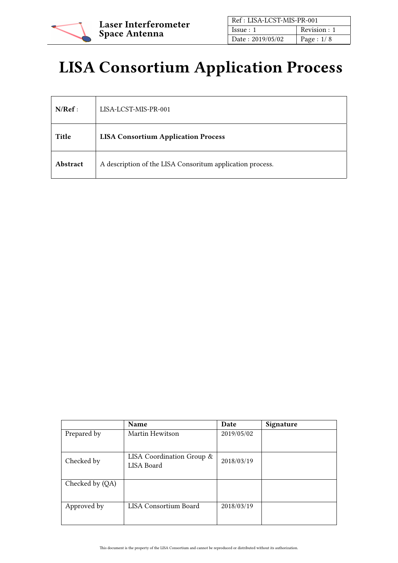

| Ref: LISA-LCST-MIS-PR-001 |              |
|---------------------------|--------------|
| Is sue: 1                 | Revision : 1 |
| Date: 2019/05/02          | Page : $1/8$ |

# LISA Consortium Application Process

| N/Ref:   | LISA-LCST-MIS-PR-001                                      |
|----------|-----------------------------------------------------------|
| Title    | <b>LISA Consortium Application Process</b>                |
| Abstract | A description of the LISA Consoritum application process. |

|                 | <b>Name</b>                             | Date       | Signature |
|-----------------|-----------------------------------------|------------|-----------|
| Prepared by     | Martin Hewitson                         | 2019/05/02 |           |
| Checked by      | LISA Coordination Group &<br>LISA Board | 2018/03/19 |           |
| Checked by (QA) |                                         |            |           |
| Approved by     | LISA Consortium Board                   | 2018/03/19 |           |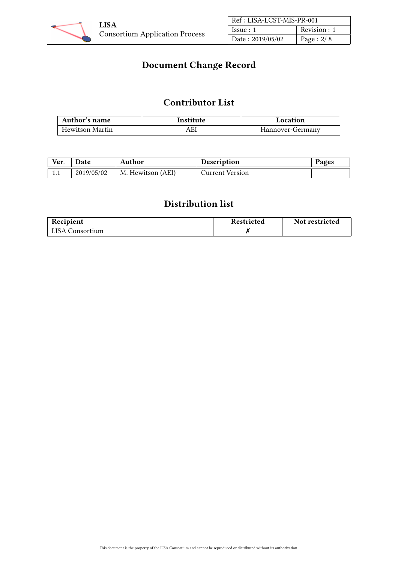

| Ref: LISA-LCST-MIS-PR-001 |              |
|---------------------------|--------------|
| Issue:1                   | Revision : 1 |
| Date: 2019/05/02          | Page : $2/8$ |

# Document Change Record

## Contributor List

| Author's name   | Institute | Location         |
|-----------------|-----------|------------------|
| Hewitson Martin | AEI       | Hannover-Germany |

| Ver. | Date       | Author            | <b>Description</b> | Pages |
|------|------------|-------------------|--------------------|-------|
| 1.1  | 2019/05/02 | M. Hewitson (AEI) | Current Version    |       |

## Distribution list

| Recipient       | Restricted | Not restricted |
|-----------------|------------|----------------|
| LISA Consortium |            |                |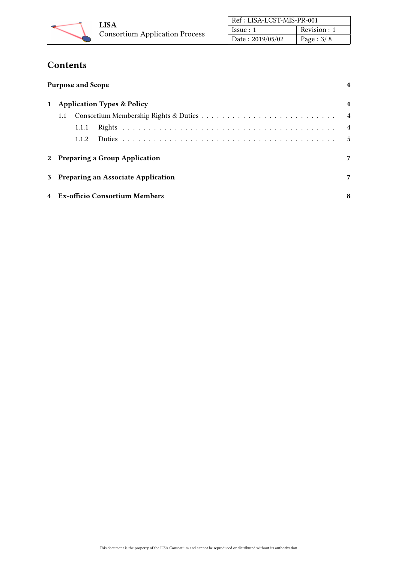

| Ref: LISA-LCST-MIS-PR-001 |              |
|---------------------------|--------------|
| Is sue: 1                 | Revision : 1 |
| Date: 2019/05/02          | Page : $3/8$ |

# Contents

| <b>Purpose and Scope</b>              |                |
|---------------------------------------|----------------|
| <b>Application Types &amp; Policy</b> | $\overline{4}$ |
| 1.1                                   | $\overline{4}$ |
| 1.1.1                                 | $\overline{4}$ |
| 1.1.2                                 | 5              |
| 2 Preparing a Group Application       | 7              |
| 3 Preparing an Associate Application  | $\overline{7}$ |
| 4 Ex-officio Consortium Members       | 8              |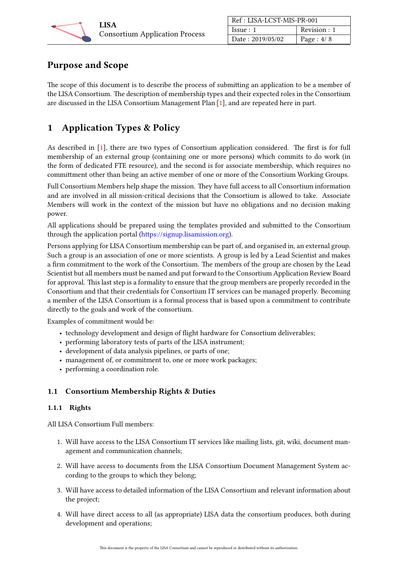

| Ref: LISA-LCST-MIS-PR-001 |               |
|---------------------------|---------------|
| Issue:1                   | Revision : 1  |
| Date: 2019/05/02          | Page : $4/ 8$ |

## <span id="page-3-0"></span>Purpose and Scope

The scope of this document is to describe the process of submitting an application to be a member of the LISA Consortium. The description of membership types and their expected roles in the Consortium are discussed in the LISA Consortium Management Plan [\[1\]](#page-7-2), and are repeated here in part.

## <span id="page-3-1"></span>1 Application Types & Policy

As described in [\[1\]](#page-7-2), there are two types of Consortium application considered. The first is for full membership of an external group (containing one or more persons) which commits to do work (in the form of dedicated FTE resource), and the second is for associate membership, which requires no committment other than being an active member of one or more of the Consortium Working Groups.

Full Consortium Members help shape the mission. They have full access to all Consortium information and are involved in all mission-critical decisions that the Consortium is allowed to take. Associate Members will work in the context of the mission but have no obligations and no decision making power.

All applications should be prepared using the templates provided and submitted to the Consortium through the application portal [\(https://signup.lisamission.org\)](https://signup.lisamission.org).

Persons applying for LISA Consortium membership can be part of, and organised in, an external group. Such a group is an association of one or more scientists. A group is led by a Lead Scientist and makes a firm commitment to the work of the Consortium. The members of the group are chosen by the Lead Scientist but all members must be named and put forward to the Consortium Application Review Board for approval. This last step is a formality to ensure that the group members are properly recorded in the Consortium and that their credentials for Consortium IT services can be managed properly. Becoming a member of the LISA Consortium is a formal process that is based upon a commitment to contribute directly to the goals and work of the consortium.

Examples of commitment would be:

- technology development and design of flight hardware for Consortium deliverables;
- performing laboratory tests of parts of the LISA instrument;
- development of data analysis pipelines, or parts of one;
- management of, or commitment to, one or more work packages;
- performing a coordination role.

#### <span id="page-3-2"></span>1.1 Consortium Membership Rights & Duties

#### <span id="page-3-3"></span>1.1.1 Rights

All LISA Consortium Full members:

- 1. Will have access to the LISA Consortium IT services like mailing lists, git, wiki, document management and communication channels;
- 2. Will have access to documents from the LISA Consortium Document Management System according to the groups to which they belong;
- 3. Will have access to detailed information of the LISA Consortium and relevant information about the project;
- 4. Will have direct access to all (as appropriate) LISA data the consortium produces, both during development and operations;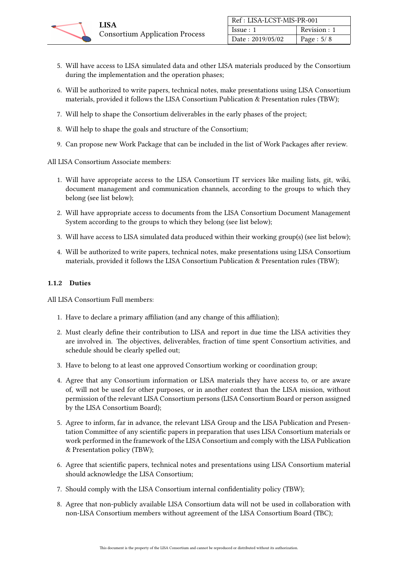

- 5. Will have access to LISA simulated data and other LISA materials produced by the Consortium during the implementation and the operation phases;
- 6. Will be authorized to write papers, technical notes, make presentations using LISA Consortium materials, provided it follows the LISA Consortium Publication & Presentation rules (TBW);
- 7. Will help to shape the Consortium deliverables in the early phases of the project;
- 8. Will help to shape the goals and structure of the Consortium;
- 9. Can propose new Work Package that can be included in the list of Work Packages after review.

All LISA Consortium Associate members:

- 1. Will have appropriate access to the LISA Consortium IT services like mailing lists, git, wiki, document management and communication channels, according to the groups to which they belong (see list below);
- 2. Will have appropriate access to documents from the LISA Consortium Document Management System according to the groups to which they belong (see list below);
- 3. Will have access to LISA simulated data produced within their working group(s) (see list below);
- 4. Will be authorized to write papers, technical notes, make presentations using LISA Consortium materials, provided it follows the LISA Consortium Publication & Presentation rules (TBW);

#### <span id="page-4-0"></span>1.1.2 Duties

All LISA Consortium Full members:

- 1. Have to declare a primary affiliation (and any change of this affiliation);
- 2. Must clearly define their contribution to LISA and report in due time the LISA activities they are involved in. The objectives, deliverables, fraction of time spent Consortium activities, and schedule should be clearly spelled out;
- 3. Have to belong to at least one approved Consortium working or coordination group;
- 4. Agree that any Consortium information or LISA materials they have access to, or are aware of, will not be used for other purposes, or in another context than the LISA mission, without permission of the relevant LISA Consortium persons (LISA Consortium Board or person assigned by the LISA Consortium Board);
- 5. Agree to inform, far in advance, the relevant LISA Group and the LISA Publication and Presentation Committee of any scientific papers in preparation that uses LISA Consortium materials or work performed in the framework of the LISA Consortium and comply with the LISA Publication & Presentation policy (TBW);
- 6. Agree that scientific papers, technical notes and presentations using LISA Consortium material should acknowledge the LISA Consortium;
- 7. Should comply with the LISA Consortium internal confidentiality policy (TBW);
- 8. Agree that non-publicly available LISA Consortium data will not be used in collaboration with non-LISA Consortium members without agreement of the LISA Consortium Board (TBC);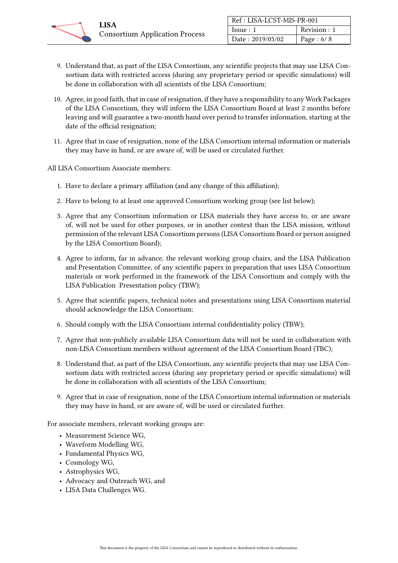| Ref: LISA-LCST-MIS-PR-001 |               |  |
|---------------------------|---------------|--|
| Issue:1                   | Revision : 1  |  |
| Date: 2019/05/02          | Page : $6/ 8$ |  |

- 9. Understand that, as part of the LISA Consortium, any scientific projects that may use LISA Consortium data with restricted access (during any proprietary period or specific simulations) will be done in collaboration with all scientists of the LISA Consortium;
- 10. Agree, in good faith, that in case of resignation, if they have a responsibility to any Work Packages of the LISA Consortium, they will inform the LISA Consortium Board at least 2 months before leaving and will guarantee a two-month hand over period to transfer information, starting at the date of the official resignation;
- 11. Agree that in case of resignation, none of the LISA Consortium internal information or materials they may have in hand, or are aware of, will be used or circulated further.

All LISA Consortium Associate members:

- 1. Have to declare a primary affiliation (and any change of this affiliation);
- 2. Have to belong to at least one approved Consortium working group (see list below);
- 3. Agree that any Consortium information or LISA materials they have access to, or are aware of, will not be used for other purposes, or in another context than the LISA mission, without permission of the relevant LISA Consortium persons (LISA Consortium Board or person assigned by the LISA Consortium Board);
- 4. Agree to inform, far in advance, the relevant working group chairs, and the LISA Publication and Presentation Committee, of any scientific papers in preparation that uses LISA Consortium materials or work performed in the framework of the LISA Consortium and comply with the LISA Publication Presentation policy (TBW);
- 5. Agree that scientific papers, technical notes and presentations using LISA Consortium material should acknowledge the LISA Consortium;
- 6. Should comply with the LISA Consortium internal confidentiality policy (TBW);
- 7. Agree that non-publicly available LISA Consortium data will not be used in collaboration with non-LISA Consortium members without agreement of the LISA Consortium Board (TBC);
- 8. Understand that, as part of the LISA Consortium, any scientific projects that may use LISA Consortium data with restricted access (during any proprietary period or specific simulations) will be done in collaboration with all scientists of the LISA Consortium;
- 9. Agree that in case of resignation, none of the LISA Consortium internal information or materials they may have in hand, or are aware of, will be used or circulated further.

For associate members, relevant working groups are:

- Measurement Science WG,
- Waveform Modelling WG,
- Fundamental Physics WG,
- Cosmology WG,
- Astrophysics WG,
- Advocacy and Outreach WG, and
- LISA Data Challenges WG.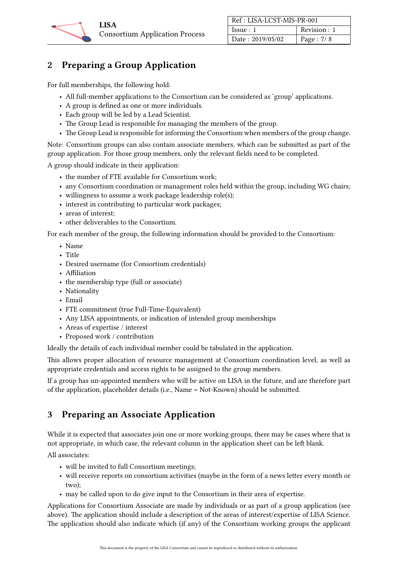

## <span id="page-6-0"></span>2 Preparing a Group Application

For full memberships, the following hold:

- All full-member applications to the Consortium can be considered as 'group' applications.
- A group is defined as one or more individuals.
- Each group will be led by a Lead Scientist.
- The Group Lead is responsible for managing the members of the group.
- The Group Lead is responsible for informing the Consortium when members of the group change.

Note: Consortium groups can also contain associate members, which can be submitted as part of the group application. For those group members, only the relevant fields need to be completed.

A group should indicate in their application:

- the number of FTE available for Consortium work;
- any Consortium coordination or management roles held within the group, including WG chairs;
- willingness to assume a work package leadership role(s);
- interest in contributing to particular work packages;
- areas of interest;
- other deliverables to the Consortium.

For each member of the group, the following information should be provided to the Consortium:

- Name
- Title
- Desired username (for Consortium credentials)
- Affiliation
- the membership type (full or associate)
- Nationality
- Email
- FTE commitment (true Full-Time-Equivalent)
- Any LISA appointments, or indication of intended group memberships
- Areas of expertise / interest
- Proposed work / contribution

Ideally the details of each individual member could be tabulated in the application.

This allows proper allocation of resource management at Consortium coordination level, as well as appropriate credentials and access rights to be assigned to the group members.

If a group has un-appointed members who will be active on LISA in the future, and are therefore part of the application, placeholder details (i.e., Name = Not-Known) should be submitted.

## <span id="page-6-1"></span>3 Preparing an Associate Application

While it is expected that associates join one or more working groups, there may be cases where that is not appropriate, in which case, the relevant column in the application sheet can be left blank.

All associates:

- will be invited to full Consortium meetings;
- will receive reports on consortium activities (maybe in the form of a news letter every month or two);
- may be called upon to do give input to the Consortium in their area of expertise.

Applications for Consortium Associate are made by individuals or as part of a group application (see above). The application should include a description of the areas of interest/expertise of LISA Science. The application should also indicate which (if any) of the Consortium working groups the applicant